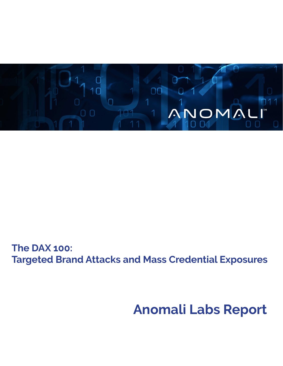

**The DAX 100: Targeted Brand Attacks and Mass Credential Exposures**

# **Anomali Labs Report**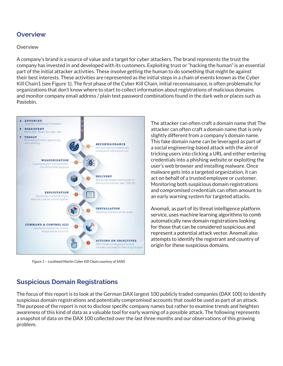## **Overview**

### Overview

A company's brand is a source of value and a target for cyber attackers. The brand represents the trust the company has invested in and developed with its customers. Exploiting trust or "hacking the human" is an essential part of the initial attacker activities. These involve getting the human to do something that might be against their best interests. These activities are represented as the initial steps in a chain of events known as the Cyber Kill Chain1 (see Figure 1). The first phase of the Cyber Kill Chain, initial reconnaissance, is often problematic for organizations that don't know where to start to collect information about registrations of malicious domains and monitor company email address / plain text password combinations found in the dark web or places such as Pastebin.



*Figure 1 -- Lockheed Martin Cyber Kill Chain courtesy of SANS*

The attacker can often craft a domain name that The attacker can often craft a domain name that is only slightly different from a company's domain name. This fake domain name can be leveraged as part of a social engineering-based attack with the aim of tricking users into clicking a URL and either entering credentials into a phishing website or exploiting the user's web browser and installing malware. Once malware gets into a targeted organization, it can act on behalf of a trusted employee or customer. Monitoring both suspicious domain registrations and compromised credentials can often amount to an early warning system for targeted attacks.

Anomali, as part of its threat intelligence platform service, uses machine learning algorithms to comb automatically new domain registrations looking for those that can be considered suspicious and represent a potential attack vector. Anomali also attempts to identify the registrant and country of origin for these suspicious domains.

# **Suspicious Domain Registrations**

The focus of this report is to look at the German DAX largest 100 publicly traded companies (DAX 100) to identify suspicious domain registrations and potentially compromised accounts that could be used as part of an attack. The purpose of the report is not to disclose specific company names but rather to examine trends and heighten awareness of this kind of data as a valuable tool for early warning of a possible attack. The following represents a snapshot of data on the DAX 100 collected over the last three months and our observations of this growing problem.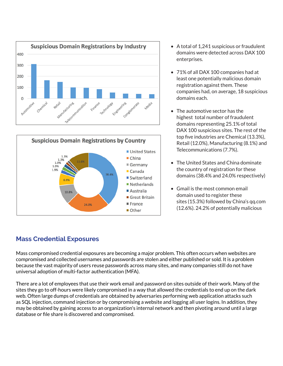



- A total of 1,241 suspicious or fraudulent domains were detected across DAX 100 enterprises.
- 71% of all DAX 100 companies had at least one potentially malicious domain registration against them. These companies had, on average, 18 suspicious domains each.
- The automotive sector has the highest total number of fraudulent domains representing 25.1% of total DAX 100 suspicious sites. The rest of the top five industries are Chemical (13.3%), Retail (12.0%), Manufacturing (8.1%) and Telecommunications (7.7%).
- The United States and China dominate the country of registration for these domains (38.4% and 24.0% respectively)
- Gmail is the most common email domain used to register these sites (15.3%) followed by China's qq.com (12.6%). 24.2% of potentially malicious

# **Mass Credential Exposures**

Mass compromised credential exposures are becoming a major problem. This often occurs when websites are compromised and collected usernames and passwords are stolen and either published or sold. It is a problem because the vast majority of users reuse passwords across many sites, and many companies still do not have universal adoption of multi-factor authentication (MFA).

There are a lot of employees that use their work email and password on sites outside of their work. Many of the sites they go to off-hours were likely compromised in a way that allowed the credentials to end up on the dark web. Often large dumps of credentials are obtained by adversaries performing web application attacks such as SQL injection, command injection or by compromising a website and logging all user logins. In addition, they may be obtained by gaining access to an organization's internal network and then pivoting around until a large database or file share is discovered and compromised.